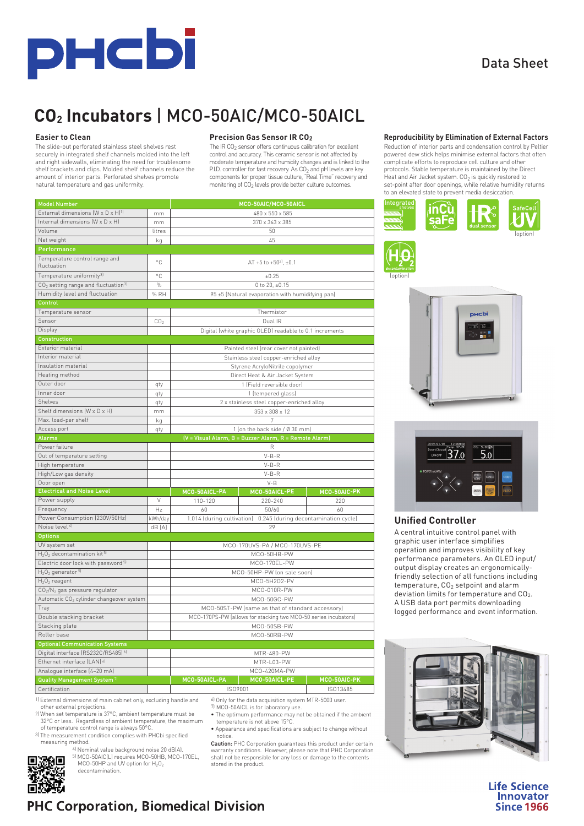

#### Data Sheet

## **CO2 Incubators** | MCO-50AIC/MCO-50AICL

#### **Easier to Clean**

The slide-out perforated stainless steel shelves rest securely in integrated shelf channels molded into the left and right sidewalls, eliminating the need for troublesome shelf brackets and clips. Molded shelf channels reduce the amount of interior parts. Perforated shelves promote natural temperature and gas uniformity.

#### **Precision Gas Sensor IR CO2**

The IR CO<sub>2</sub> sensor offers continuous calibration for excellent control and accuracy. This ceramic sensor is not affected by moderate temperature and humidity changes and is linked to the P.I.D. controller for fast recovery. As CO<sub>2</sub> and pH levels are key components for proper tissue culture, "Real Time" recovery and monitoring of CO<sub>2</sub> levels provide better culture outcomes.

| <b>Model Number</b>                                         |                 | MCO-50AIC/MCO-50AICL                                            |                                                         |              |  |  |  |  |
|-------------------------------------------------------------|-----------------|-----------------------------------------------------------------|---------------------------------------------------------|--------------|--|--|--|--|
| External dimensions (W x D x H) <sup>1)</sup>               | mm              | 480 x 550 x 585                                                 |                                                         |              |  |  |  |  |
| Internal dimensions (W x D x H)                             | mm              | 370 x 363 x 385                                                 |                                                         |              |  |  |  |  |
| Volume                                                      | litres          | 50                                                              |                                                         |              |  |  |  |  |
| Net weight                                                  | kg              | 45                                                              |                                                         |              |  |  |  |  |
| Performance                                                 |                 |                                                                 |                                                         |              |  |  |  |  |
| Temperature control range and<br>fluctuation                | °C              |                                                                 | AT +5 to +50 $^{21}$ , ±0.1                             |              |  |  |  |  |
| Temperature uniformity <sup>3)</sup>                        | °C              |                                                                 | ±0.25                                                   |              |  |  |  |  |
| CO <sub>2</sub> setting range and fluctuation <sup>3)</sup> | $\%$            |                                                                 | 0 to 20, ±0.15                                          |              |  |  |  |  |
| Humidity level and fluctuation                              | % RH            |                                                                 | 95 ±5 (Natural evaporation with humidifying pan)        |              |  |  |  |  |
| Control                                                     |                 |                                                                 |                                                         |              |  |  |  |  |
| Temperature sensor                                          |                 |                                                                 | Thermistor                                              |              |  |  |  |  |
| Sensor                                                      | CO <sub>2</sub> |                                                                 | Dual IR                                                 |              |  |  |  |  |
| Display                                                     |                 |                                                                 | Digital (white graphic OLED) readable to 0.1 increments |              |  |  |  |  |
| <b>Construction</b>                                         |                 |                                                                 |                                                         |              |  |  |  |  |
| Exterior material                                           |                 |                                                                 |                                                         |              |  |  |  |  |
| Interior material                                           |                 |                                                                 | Painted steel (rear cover not painted)                  |              |  |  |  |  |
|                                                             |                 |                                                                 | Stainless steel copper-enriched alloy                   |              |  |  |  |  |
| Insulation material                                         |                 |                                                                 | Styrene AcryloNitrile copolymer                         |              |  |  |  |  |
| Heating method                                              |                 |                                                                 | Direct Heat & Air Jacket System                         |              |  |  |  |  |
| Outer door                                                  | qty             |                                                                 | 1 (Field reversible door)                               |              |  |  |  |  |
| Inner door                                                  | qty             |                                                                 | 1 (tempered glass)                                      |              |  |  |  |  |
| Shelves                                                     | qty             | 2 x stainless steel copper-enriched alloy                       |                                                         |              |  |  |  |  |
| Shelf dimensions (W x D x H)                                | mm              | 353 x 308 x 12                                                  |                                                         |              |  |  |  |  |
| Max. load-per shelf                                         | kg              |                                                                 | 7                                                       |              |  |  |  |  |
| Access port                                                 | qty             | 1 (on the back side / Ø 30 mm)                                  |                                                         |              |  |  |  |  |
| Alarms                                                      |                 |                                                                 | (V = Visual Alarm, B = Buzzer Alarm, R = Remote Alarm)  |              |  |  |  |  |
| Power failure                                               |                 | R                                                               |                                                         |              |  |  |  |  |
| Out of temperature setting                                  |                 | $V-B-R$                                                         |                                                         |              |  |  |  |  |
| High temperature                                            |                 | $V-B-R$                                                         |                                                         |              |  |  |  |  |
| High/Low gas density                                        |                 | $V-B-R$                                                         |                                                         |              |  |  |  |  |
| Door open                                                   |                 | $V - B$                                                         |                                                         |              |  |  |  |  |
| <b>Electrical and Noise Level</b>                           |                 | MCO-50AICL-PA                                                   | MCO-50AICL-PE                                           | MCO-50AIC-PK |  |  |  |  |
| Power supply                                                | V               | 110-120                                                         | 220-240                                                 | 220          |  |  |  |  |
| Frequency                                                   | Hz              | 60                                                              | 50/60                                                   | 60           |  |  |  |  |
| Power Consumption (230V/50Hz)                               | kWh/day         | 1.014 (during cultivation) 0.245 (during decontamination cycle) |                                                         |              |  |  |  |  |
| Noise level <sup>41</sup>                                   | dB [A]          | 29                                                              |                                                         |              |  |  |  |  |
| <b>Options</b>                                              |                 |                                                                 |                                                         |              |  |  |  |  |
| UV system set                                               |                 | MCO-170UVS-PA / MCO-170UVS-PE                                   |                                                         |              |  |  |  |  |
| $H_2O_2$ decontamination kit 5)                             |                 | MCO-50HB-PW                                                     |                                                         |              |  |  |  |  |
| Electric door lock with password <sup>5)</sup>              |                 | MCO-170EL-PW                                                    |                                                         |              |  |  |  |  |
| $H_2O_2$ generator 5                                        |                 | MCO-50HP-PW (on sale soon)                                      |                                                         |              |  |  |  |  |
| $H_2O_2$ reagent                                            |                 | MCO-5H2O2-PV                                                    |                                                         |              |  |  |  |  |
| CO <sub>2</sub> /N <sub>2</sub> gas pressure regulator      |                 | MCO-010R-PW                                                     |                                                         |              |  |  |  |  |
| Automatic CO <sub>2</sub> cylinder changeover system        |                 | MCO-50GC-PW                                                     |                                                         |              |  |  |  |  |
| Tray                                                        |                 | MCO-50ST-PW (same as that of standard accessory)                |                                                         |              |  |  |  |  |
| Double stacking bracket                                     |                 | MCO-170PS-PW (allows for stacking two MCO-50 series incubators) |                                                         |              |  |  |  |  |
| Stacking plate                                              |                 | MCO-50SB-PW                                                     |                                                         |              |  |  |  |  |
| Roller base                                                 |                 | MCO-50RB-PW                                                     |                                                         |              |  |  |  |  |
| <b>Optional Communication Systems</b>                       |                 |                                                                 |                                                         |              |  |  |  |  |
| Digital interface (RS232C/RS485) 61                         |                 | MTR-480-PW                                                      |                                                         |              |  |  |  |  |
| Ethernet interface (LAN) <sup>6)</sup>                      |                 | MTR-L03-PW                                                      |                                                         |              |  |  |  |  |
| Analogue interface [4-20 mA]                                |                 | MCO-420MA-PW                                                    |                                                         |              |  |  |  |  |
| <b>Quality Management System?</b>                           |                 | MCO-50AICL-PA                                                   | MCO-50AICL-PE                                           | MCO-50AIC-PK |  |  |  |  |
| Certification                                               |                 | ISO9001                                                         |                                                         | ISO13485     |  |  |  |  |



**Reproducibility by Elimination of External Factors** Reduction of interior parts and condensation control by Peltier powered dew stick helps minimise external factors that often complicate efforts to reproduce cell culture and other protocols. Stable temperature is maintained by the Direct Heat and Air Jacket system. CO<sub>2</sub> is quickly restored to set-point after door openings, while relative humidity returns to an elevated state to prevent media desiccation.







#### **Unified Controller**

A central intuitive control panel with graphic user interface simplifies operation and improves visibility of key performance parameters. An OLED input/ output display creates an ergonomicallyfriendly selection of all functions including temperature,  $CO<sub>2</sub>$  setpoint and alarm deviation limits for temperature and CO2. A USB data port permits downloading logged performance and event information.



**Life Science Innovator Since 1966** 

# 務回<br>大戦 **PHC Corporation, Biomedical Division**

1) External dimensions of main cabinet only, excluding handle and other external projections. 2) When set temperature is 37°C, ambient temperature must be 32°C or less. Regardless of ambient temperature, the maximum

> 4) Nominal value background noise 20 dB(A). 5) MCO-50AIC(L) requires MCO-50HB, MCO-170EL,<br>MCO-50HP and UV option for  $H_2O_2$

of temperature control range is always 50°C. 3) The measurement condition complies with PHCbi specified

decontamination.

measuring method.

6) Only for the data acquisition system MTR-5000 user. 7) MCO-50AICL is for laboratory use.

- The optimum performance may not be obtained if the ambient temperature is not above 15°C.
- Appearance and specifications are subject to change without notice.

Caution: PHC Corporation guarantees this product under certain **Caution:** PHC Corporation guarantees this product under certain<br>warranty conditions. However, please note that PHC Corporation<br>shall not be responsible for any loss or damage to the contents stored in the product.